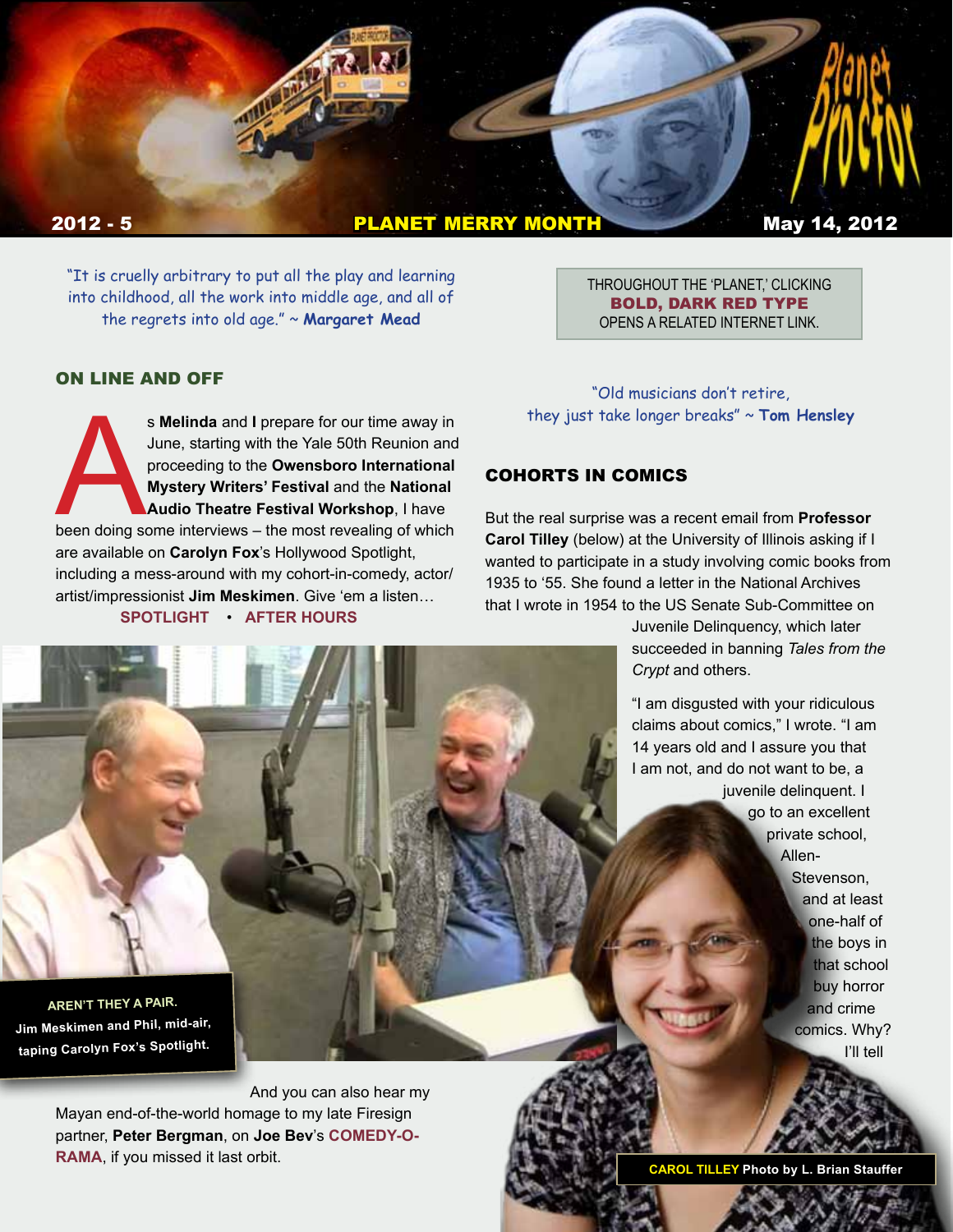

"It is cruelly arbitrary to put all the play and learning into childhood, all the work into middle age, and all of the regrets into old age." ~ **Margaret Mead**

THROUGHOUT THE 'PLANET,' CLICKING BOLD, DARK RED TYPE OPENS A RELATED INTERNET LINK.

#### ON LINE AND OFF

s Melinda and I prepare for our time away in<br>
June, starting with the Yale 50th Reunion and<br>
proceeding to the Owensboro International<br>
Mystery Writers' Festival and the National<br>
Audio Theatre Festival Workshop, I have<br>
b June, starting with the Yale 50th Reunion and proceeding to the **Owensboro International Mystery Writers' Festival** and the **National Audio Theatre Festival Workshop**, I have are available on **Carolyn Fox**'s Hollywood Spotlight, including a mess-around with my cohort-in-comedy, actor/ artist/impressionist **Jim Meskimen**. Give 'em a listen… **[SPOTLIGHT](http://carolynfoxrocks.com/2012/04/08/phil-proctor-of-the-firesign-theater-on-carolyn-foxs-hollywood-spotlight/)** • **[AFTER HOURS](http://carolynfoxrocks.com/2012/04/28/phil-proctor-of-the-firesign-theater-after-hours-with-carolyn-fox/ )**

"Old musicians don't retire, they just take longer breaks" ~ **Tom Hensley**

#### COHORTS IN COMICS

But the real surprise was a recent email from **Professor Carol Tilley** (below) at the University of Illinois asking if I wanted to participate in a study involving comic books from 1935 to '55. She found a letter in the National Archives that I wrote in 1954 to the US Senate Sub-Committee on

> Juvenile Delinquency, which later succeeded in banning *Tales from the Crypt* and others.

> "I am disgusted with your ridiculous claims about comics," I wrote. "I am 14 years old and I assure you that I am not, and do not want to be, a juvenile delinquent. I go to an excellent private school, Allen-Stevenson, and at least one-half of the boys in that school buy horror

and crime comics. Why? I'll tell

**AREN'T THEY A PAIR. Jim Meskimen and Phil, mid-air, taping Carolyn Fox's Spotlight.**

> And you can also hear my Mayan end-of-the-world homage to my late Firesign partner, **Peter Bergman**, on **Joe Bev**'s **[COMEDY-O-](http://joebev.com/joebev-audio/comedyorama/campwaterloggagogo11.mp3)[RAMA](http://joebev.com/joebev-audio/comedyorama/campwaterloggagogo11.mp3)**, if you missed it last orbit.

n *CONTINUED* **CAROL TILLEY Photo by L. Brian Stauffer**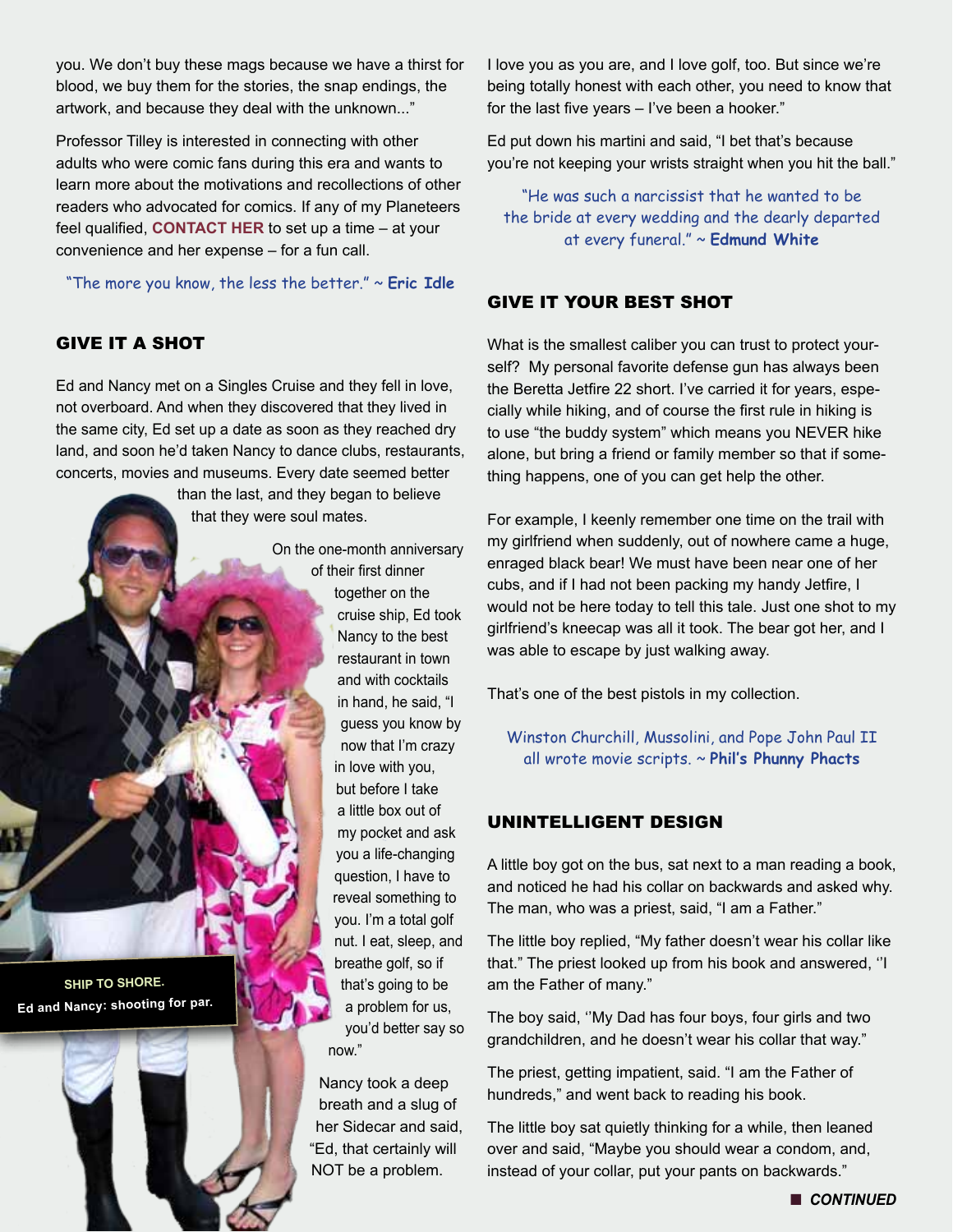you. We don't buy these mags because we have a thirst for blood, we buy them for the stories, the snap endings, the artwork, and because they deal with the unknown..."

Professor Tilley is interested in connecting with other adults who were comic fans during this era and wants to learn more about the motivations and recollections of other readers who advocated for comics. If any of my Planeteers feel qualified, **[CONTACT HER](mailto:ctilley%40illinois.edu?subject=PLANETEER%20COMICS%20FAN)** to set up a time – at your convenience and her expense – for a fun call.

"The more you know, the less the better." ~ **Eric Idle**

# GIVE IT A SHOT

**SHIP TO SHORE. Ed and Nancy: shooting for par.**

Ed and Nancy met on a Singles Cruise and they fell in love, not overboard. And when they discovered that they lived in the same city, Ed set up a date as soon as they reached dry land, and soon he'd taken Nancy to dance clubs, restaurants, concerts, movies and museums. Every date seemed better

> than the last, and they began to believe that they were soul mates.

> > On the one-month anniversary of their first dinner together on the cruise ship, Ed took Nancy to the best restaurant in town and with cocktails in hand, he said, "I guess you know by now that I'm crazy in love with you, but before I take a little box out of my pocket and ask you a life-changing question, I have to reveal something to you. I'm a total golf nut. I eat, sleep, and breathe golf, so if that's going to be a problem for us, you'd better say so now." Nancy took a deep

breath and a slug of her Sidecar and said, "Ed, that certainly will NOT be a problem.

I love you as you are, and I love golf, too. But since we're being totally honest with each other, you need to know that for the last five years – I've been a hooker."

Ed put down his martini and said, "I bet that's because you're not keeping your wrists straight when you hit the ball."

"He was such a narcissist that he wanted to be the bride at every wedding and the dearly departed at every funeral." ~ **Edmund White**

### GIVE IT YOUR BEST SHOT

What is the smallest caliber you can trust to protect yourself? My personal favorite defense gun has always been the Beretta Jetfire 22 short. I've carried it for years, especially while hiking, and of course the first rule in hiking is to use "the buddy system" which means you NEVER hike alone, but bring a friend or family member so that if something happens, one of you can get help the other.

For example, I keenly remember one time on the trail with my girlfriend when suddenly, out of nowhere came a huge, enraged black bear! We must have been near one of her cubs, and if I had not been packing my handy Jetfire, I would not be here today to tell this tale. Just one shot to my girlfriend's kneecap was all it took. The bear got her, and I was able to escape by just walking away.

That's one of the best pistols in my collection.

Winston Churchill, Mussolini, and Pope John Paul II all wrote movie scripts. ~ **Phil's Phunny Phacts**

## UNINTELLIGENT DESIGN

A little boy got on the bus, sat next to a man reading a book, and noticed he had his collar on backwards and asked why. The man, who was a priest, said, "I am a Father."

The little boy replied, "My father doesn't wear his collar like that." The priest looked up from his book and answered, ''I am the Father of many."

The boy said, ''My Dad has four boys, four girls and two grandchildren, and he doesn't wear his collar that way."

The priest, getting impatient, said. "I am the Father of hundreds," and went back to reading his book.

The little boy sat quietly thinking for a while, then leaned over and said, "Maybe you should wear a condom, and, instead of your collar, put your pants on backwards."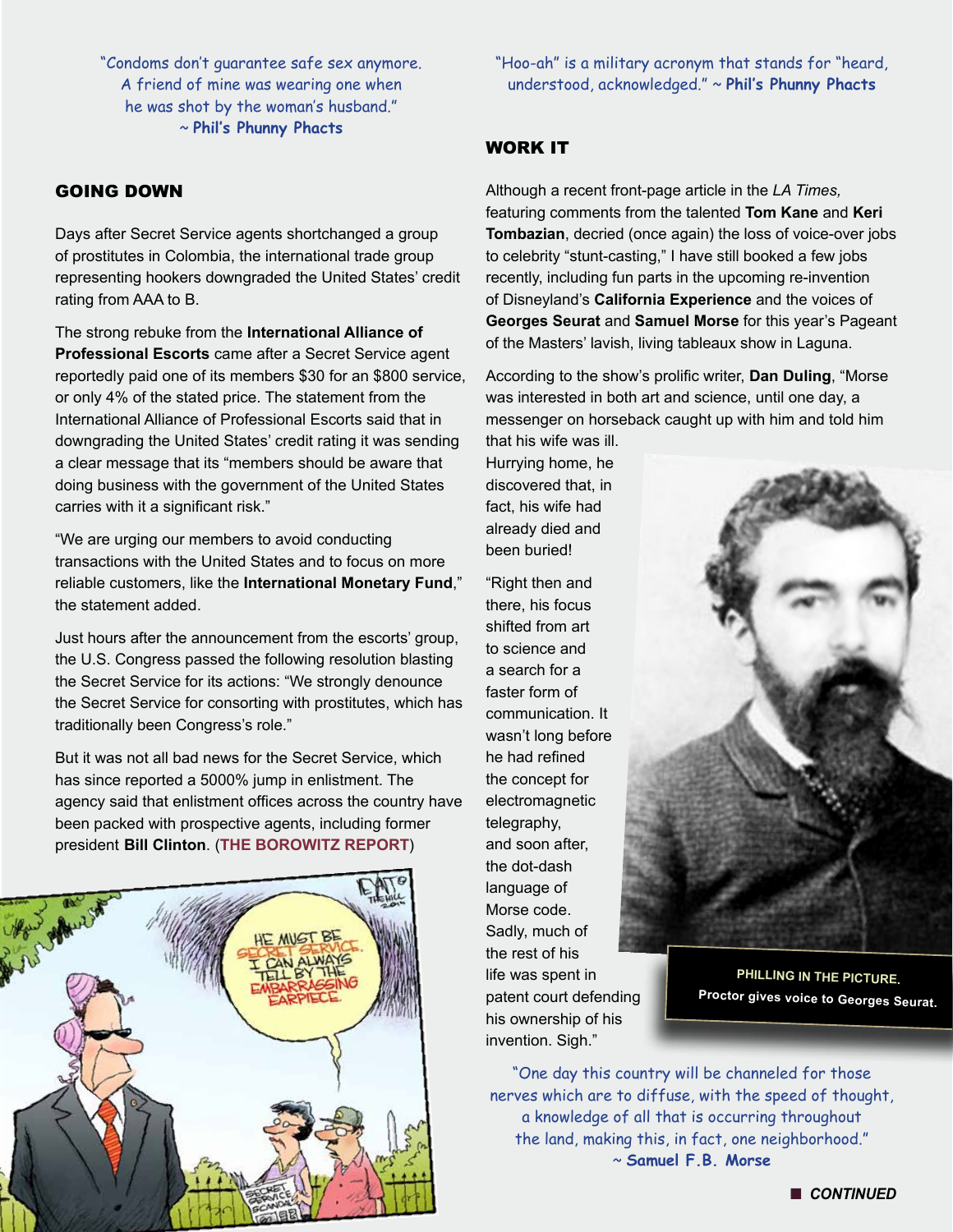"Condoms don't guarantee safe sex anymore. A friend of mine was wearing one when he was shot by the woman's husband." ~ **Phil's Phunny Phacts**

## GOING DOWN

Days after Secret Service agents shortchanged a group of prostitutes in Colombia, the international trade group representing hookers downgraded the United States' credit rating from AAA to B.

The strong rebuke from the **International Alliance of Professional Escorts** came after a Secret Service agent reportedly paid one of its members \$30 for an \$800 service, or only 4% of the stated price. The statement from the International Alliance of Professional Escorts said that in downgrading the United States' credit rating it was sending a clear message that its "members should be aware that doing business with the government of the United States carries with it a significant risk."

"We are urging our members to avoid conducting transactions with the United States and to focus on more reliable customers, like the **International Monetary Fund**," the statement added.

Just hours after the announcement from the escorts' group, the U.S. Congress passed the following resolution blasting the Secret Service for its actions: "We strongly denounce the Secret Service for consorting with prostitutes, which has traditionally been Congress's role."

But it was not all bad news for the Secret Service, which has since reported a 5000% jump in enlistment. The agency said that enlistment offices across the country have been packed with prospective agents, including former president **Bill Clinton**. (**[THE BOROWITZ REPORT](http://borowitzreport.us1.list-manage2.com/track/click?u=49de3335c30245ecd0fa291aa&id=887acd72bf&e=iddzEpxMaO)**)



"Hoo-ah" is a military acronym that stands for "heard, understood, acknowledged." ~ **Phil's Phunny Phacts**

#### WORK IT

Although a recent front-page article in the *LA Times,*  featuring comments from the talented **Tom Kane** and **Keri Tombazian**, decried (once again) the loss of voice-over jobs to celebrity "stunt-casting," I have still booked a few jobs recently, including fun parts in the upcoming re-invention of Disneyland's **California Experience** and the voices of **Georges Seurat** and **Samuel Morse** for this year's Pageant of the Masters' lavish, living tableaux show in Laguna.

According to the show's prolific writer, **Dan Duling**, "Morse was interested in both art and science, until one day, a messenger on horseback caught up with him and told him

that his wife was ill. Hurrying home, he discovered that, in fact, his wife had already died and been buried!

"Right then and there, his focus shifted from art to science and a search for a faster form of communication. It wasn't long before he had refined the concept for electromagnetic telegraphy, and soon after, the dot-dash language of Morse code. Sadly, much of the rest of his life was spent in patent court defending his ownership of his invention. Sigh."



**PHILLING IN THE PICTURE. Proctor gives voice to Georges Seurat.**

"One day this country will be channeled for those nerves which are to diffuse, with the speed of thought, a knowledge of all that is occurring throughout the land, making this, in fact, one neighborhood." ~ **Samuel F.B. Morse**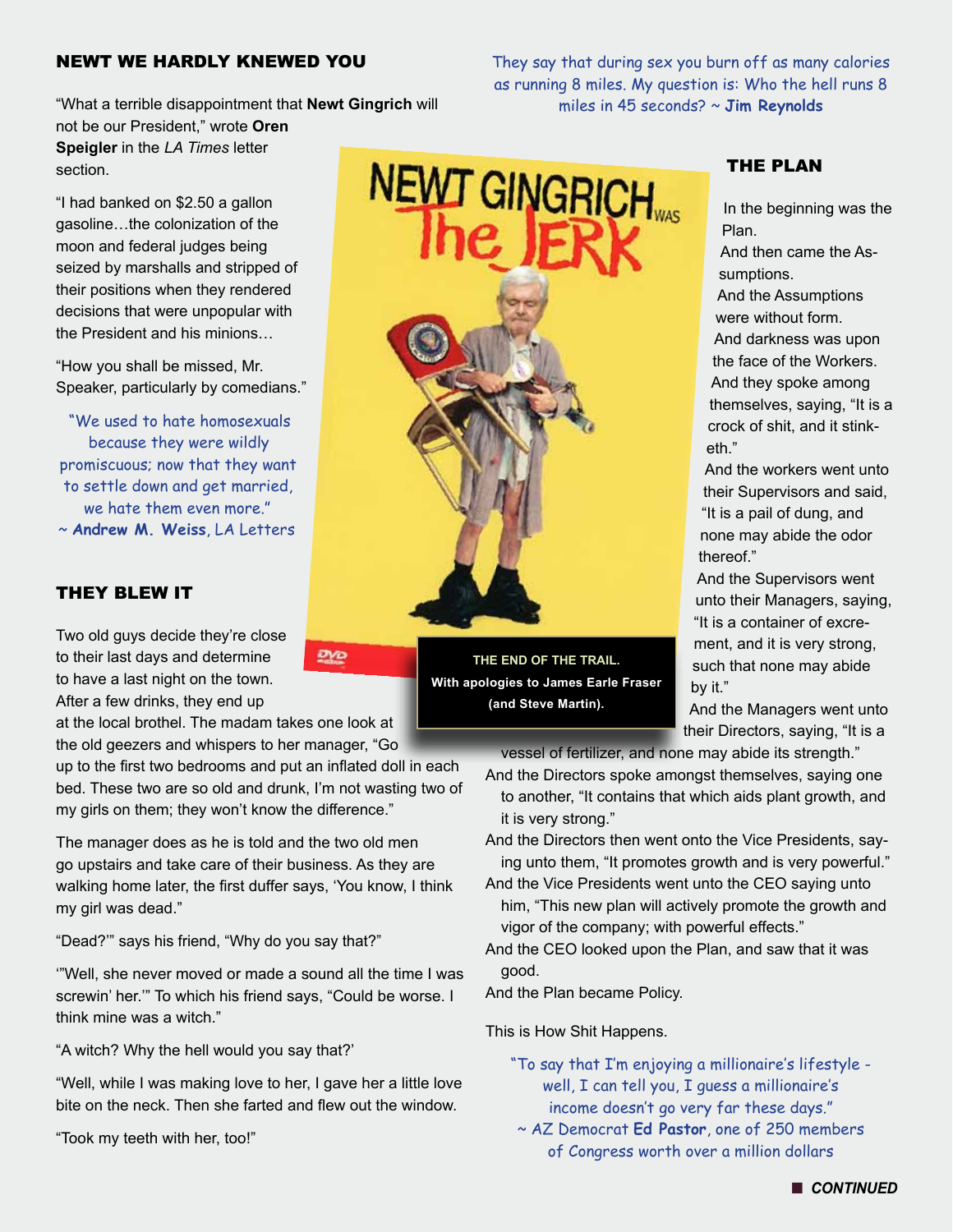#### NEWT WE HARDLY KNEWED YOU

"What a terrible disappointment that **Newt Gingrich** will not be our President," wrote **Oren Speigler** in the *LA Times* letter section.

"I had banked on \$2.50 a gallon gasoline…the colonization of the moon and federal judges being seized by marshalls and stripped of their positions when they rendered decisions that were unpopular with the President and his minions…

"How you shall be missed, Mr. Speaker, particularly by comedians."

"We used to hate homosexuals because they were wildly promiscuous; now that they want to settle down and get married, we hate them even more." ~ **Andrew M. Weiss**, LA Letters

#### THEY BLEW IT

Two old guys decide they're close to their last days and determine to have a last night on the town. After a few drinks, they end up

at the local brothel. The madam takes one look at the old geezers and whispers to her manager, "Go

up to the first two bedrooms and put an inflated doll in each bed. These two are so old and drunk, I'm not wasting two of my girls on them; they won't know the difference."

<u>ano</u>

The manager does as he is told and the two old men go upstairs and take care of their business. As they are walking home later, the first duffer says, 'You know, I think my girl was dead."

"Dead?'" says his friend, "Why do you say that?"

'"Well, she never moved or made a sound all the time I was screwin' her.'" To which his friend says, "Could be worse. I think mine was a witch."

"A witch? Why the hell would you say that?'

"Well, while I was making love to her, I gave her a little love bite on the neck. Then she farted and flew out the window.

"Took my teeth with her, too!"

They say that during sex you burn off as many calories as running 8 miles. My question is: Who the hell runs 8 miles in 45 seconds? ~ **Jim Reynolds**



In the beginning was the Plan.

And then came the Assumptions.

And the Assumptions were without form. And darkness was upon the face of the Workers. And they spoke among themselves, saying, "It is a crock of shit, and it stinketh."

And the workers went unto their Supervisors and said, "It is a pail of dung, and none may abide the odor thereof."

And the Supervisors went unto their Managers, saying, "It is a container of excrement, and it is very strong, such that none may abide by it."

And the Managers went unto their Directors, saying, "It is a

vessel of fertilizer, and none may abide its strength."

And the Directors spoke amongst themselves, saying one to another, "It contains that which aids plant growth, and it is very strong."

And the Directors then went onto the Vice Presidents, saying unto them, "It promotes growth and is very powerful."

And the Vice Presidents went unto the CEO saying unto him, "This new plan will actively promote the growth and vigor of the company; with powerful effects."

And the CEO looked upon the Plan, and saw that it was good.

And the Plan became Policy.

This is How Shit Happens.

**THE END OF THE TRAIL. With apologies to James Earle Fraser (and Steve Martin).**

> "To say that I'm enjoying a millionaire's lifestyle well, I can tell you, I guess a millionaire's income doesn't go very far these days."

~ AZ Democrat **Ed Pastor**, one of 250 members of Congress worth over a million dollars